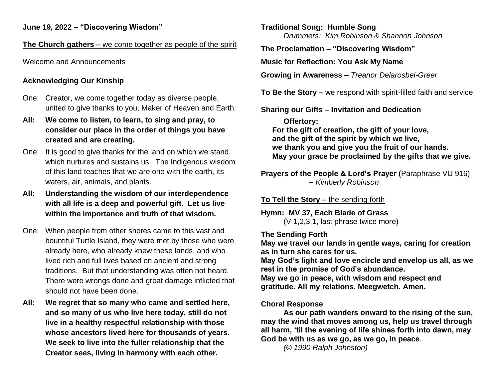#### **The Church gathers –** we come together as people of the spirit

Welcome and Announcements

# **Acknowledging Our Kinship**

- One: Creator, we come together today as diverse people, united to give thanks to you, Maker of Heaven and Earth.
- **All: We come to listen, to learn, to sing and pray, to consider our place in the order of things you have created and are creating.**
- One: It is good to give thanks for the land on which we stand, which nurtures and sustains us. The Indigenous wisdom of this land teaches that we are one with the earth, its waters, air, animals, and plants.
- **All: Understanding the wisdom of our interdependence with all life is a deep and powerful gift. Let us live within the importance and truth of that wisdom.**
- One: When people from other shores came to this vast and bountiful Turtle Island, they were met by those who were already here, who already knew these lands, and who lived rich and full lives based on ancient and strong traditions. But that understanding was often not heard. There were wrongs done and great damage inflicted that should not have been done.
- **All: We regret that so many who came and settled here, and so many of us who live here today, still do not live in a healthy respectful relationship with those whose ancestors lived here for thousands of years. We seek to live into the fuller relationship that the Creator sees, living in harmony with each other.**

**Traditional Song: Humble Song** *Drummers: Kim Robinson & Shannon Johnson*

**The Proclamation – "Discovering Wisdom"**

**Music for Reflection: You Ask My Name**

**Growing in Awareness –** *Treanor Delarosbel-Greer*

**To Be the Story –** we respond with spirit-filled faith and service

## **Sharing our Gifts – Invitation and Dedication**

**Offertory: For the gift of creation, the gift of your love, and the gift of the spirit by which we live, we thank you and give you the fruit of our hands. May your grace be proclaimed by the gifts that we give.**

**Prayers of the People & Lord's Prayer (**Paraphrase VU 916) *-- Kimberly Robinson* 

**To Tell the Story –** the sending forth

**Hymn: MV 37, Each Blade of Grass**  (V 1,2,3,1, last phrase twice more)

#### **The Sending Forth**

**May we travel our lands in gentle ways, caring for creation as in turn she cares for us.** 

**May God's light and love encircle and envelop us all, as we rest in the promise of God's abundance.** 

**May we go in peace, with wisdom and respect and gratitude. All my relations. Meegwetch. Amen.**

## **Choral Response**

**As our path wanders onward to the rising of the sun, may the wind that moves among us, help us travel through all harm, 'til the evening of life shines forth into dawn, may God be with us as we go, as we go, in peace***.* 

*(© 1990 Ralph Johnston)*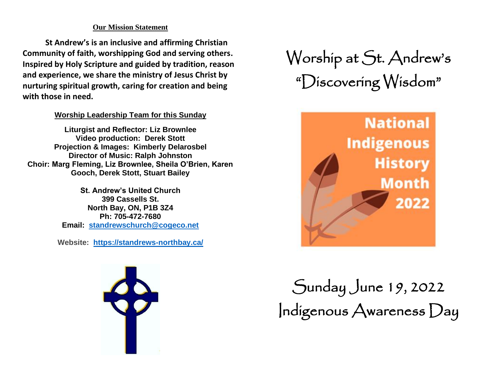#### **Our Mission Statement**

**St Andrew's is an inclusive and affirming Christian Community of faith, worshipping God and serving others. Inspired by Holy Scripture and guided by tradition, reason and experience, we share the ministry of Jesus Christ by nurturing spiritual growth, caring for creation and being with those in need.**

#### **Worship Leadership Team for this Sunday**

**Liturgist and Reflector: Liz Brownlee Video production: Derek Stott Projection & Images: Kimberly Delarosbel Director of Music: Ralph Johnston Choir: Marg Fleming, Liz Brownlee, Sheila O'Brien, Karen Gooch, Derek Stott, Stuart Bailey**

> **St. Andrew's United Church 399 Cassells St. North Bay, ON, P1B 3Z4 Ph: 705-472-7680 Email: [standrewschurch@cogeco.net](mailto:standrewschurch@cogeco.ca)**

**Website: <https://standrews-northbay.ca/>**



# Worship at St. Andrew's "Discovering Wisdom"



Sunday June 19, 2022 Indigenous Awareness Day